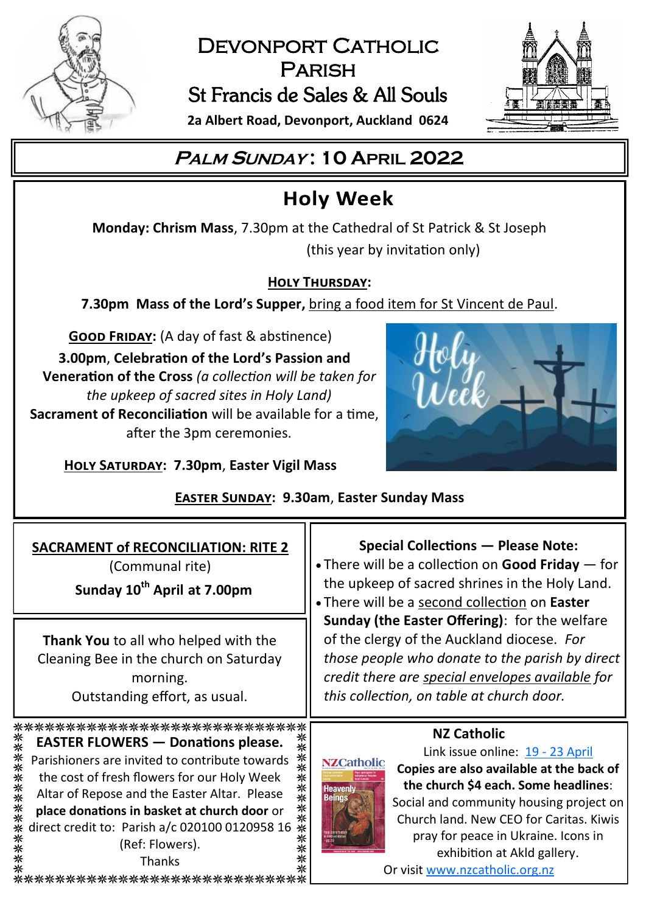

## DEVONPORT CATHOLIC **PARISH** St Francis de Sales & All Souls



**2a Albert Road, Devonport, Auckland 0624**

# **<sup>P</sup>ALM <sup>S</sup>UNDAY : 10 APRIL 2022**

# **Holy Week**

**Monday: Chrism Mass**, 7.30pm at the Cathedral of St Patrick & St Joseph (this year by invitation only)

## **Holy Thursday:**

**7.30pm Mass of the Lord's Supper,** bring a food item for St Vincent de Paul.

**GOOD FRIDAY:** (A day of fast & abstinence)

**3.00pm**, **Celebration of the Lord's Passion and Veneration of the Cross** *(a collection will be taken for the upkeep of sacred sites in Holy Land)* **Sacrament of Reconciliation** will be available for a time, after the 3pm ceremonies.

**Holy Saturday: 7.30pm**, **Easter Vigil Mass**



## **Easter Sunday: 9.30am**, **Easter Sunday Mass**

| <b>SACRAMENT of RECONCILIATION: RITE 2</b><br>(Communal rite)<br>Sunday 10 <sup>th</sup> April at 7.00pm<br>Thank You to all who helped with the<br>Cleaning Bee in the church on Saturday<br>morning.<br>Outstanding effort, as usual.                                                                                                                                                                     | <b>Special Collections - Please Note:</b><br>. There will be a collection on Good Friday - for<br>the upkeep of sacred shrines in the Holy Land.<br>• There will be a second collection on Easter<br>Sunday (the Easter Offering): for the welfare<br>of the clergy of the Auckland diocese. For<br>those people who donate to the parish by direct<br>credit there are special envelopes available for<br>this collection, on table at church door. |
|-------------------------------------------------------------------------------------------------------------------------------------------------------------------------------------------------------------------------------------------------------------------------------------------------------------------------------------------------------------------------------------------------------------|------------------------------------------------------------------------------------------------------------------------------------------------------------------------------------------------------------------------------------------------------------------------------------------------------------------------------------------------------------------------------------------------------------------------------------------------------|
| ****************************<br><b>EASTER FLOWERS — Donations please.</b><br>∗<br>米米<br>Parishioners are invited to contribute towards<br>the cost of fresh flowers for our Holy Week<br>∗<br>**<br>Altar of Repose and the Easter Altar. Please<br>****<br>place donations in basket at church door or<br>direct credit to: Parish a/c 020100 0120958 16<br>(Ref: Flowers).<br>Thanks<br>***************** | <b>NZ Catholic</b><br>Link issue online: 19 - 23 April<br><b>NZCatholic</b><br>Copies are also available at the back of<br>the church \$4 each. Some headlines:<br><b>Heavenly</b><br>Beings<br>Social and community housing project on<br>Church land. New CEO for Caritas. Kiwis<br>pray for peace in Ukraine. Icons in<br>exhibition at Akld gallery.<br>Or visit www.nzcatholic.org.nz                                                           |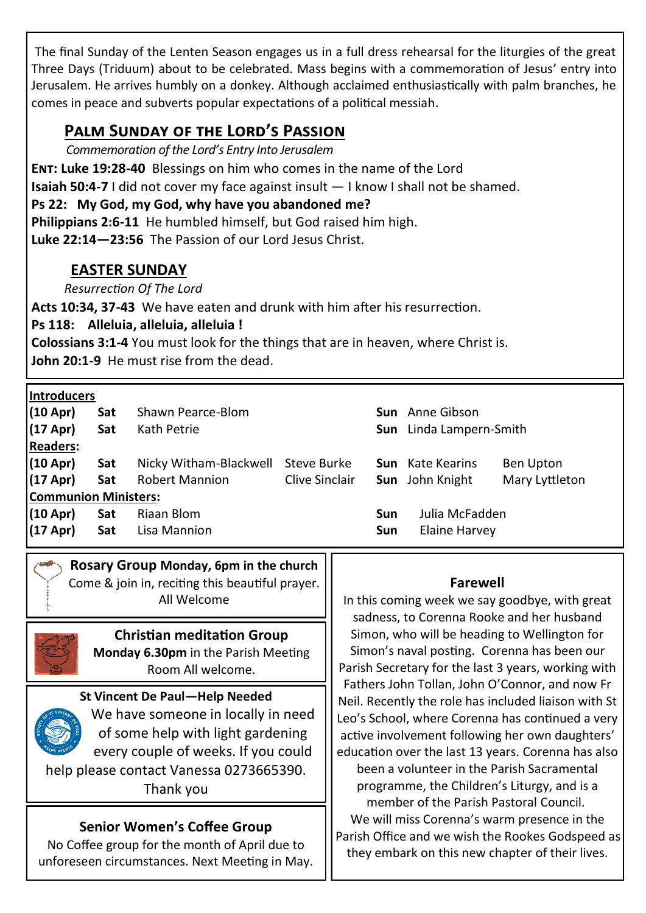The final Sunday of the Lenten Season engages us in a full dress rehearsal for the liturgies of the great Three Days (Triduum) about to be celebrated. Mass begins with a commemoration of Jesus' entry into Jerusalem. He arrives humbly on a donkey. Although acclaimed enthusiastically with palm branches, he comes in peace and subverts popular expectations of a political messiah.

## **Palm Sunday of the Lord's Passion**

*Commemoration of the Lord's Entry Into Jerusalem*

**Ent: Luke 19:28-40** Blessings on him who comes in the name of the Lord

**Isaiah 50:4-7** I did not cover my face against insult — I know I shall not be shamed.

**Ps 22: My God, my God, why have you abandoned me?**

**Philippians 2:6-11** He humbled himself, but God raised him high.

**Luke 22:14—23:56** The Passion of our Lord Jesus Christ.

## **EASTER SUNDAY**

*Resurrection Of The Lord*

**Acts 10:34, 37-43** We have eaten and drunk with him after his resurrection.

**Ps 118: Alleluia, alleluia, alleluia !**

**Colossians 3:1-4** You must look for the things that are in heaven, where Christ is. **John 20:1-9** He must rise from the dead.

|--|

| iliu vuuteis                |     |                                    |                |            |                                |                |  |  |
|-----------------------------|-----|------------------------------------|----------------|------------|--------------------------------|----------------|--|--|
| (10 Apr)                    | Sat | Shawn Pearce-Blom                  |                |            | <b>Sun</b> Anne Gibson         |                |  |  |
| (17 Apr)                    | Sat | Kath Petrie                        |                |            | <b>Sun</b> Linda Lampern-Smith |                |  |  |
| <b>Readers:</b>             |     |                                    |                |            |                                |                |  |  |
| (10 Apr)                    | Sat | Nicky Witham-Blackwell Steve Burke |                |            | <b>Sun</b> Kate Kearins        | Ben Upton      |  |  |
| (17 Apr)                    | Sat | <b>Robert Mannion</b>              | Clive Sinclair |            | <b>Sun</b> John Knight         | Mary Lyttleton |  |  |
| <b>Communion Ministers:</b> |     |                                    |                |            |                                |                |  |  |
| (10 Apr)                    | Sat | Riaan Blom                         |                | <b>Sun</b> | Julia McFadden                 |                |  |  |
| (17 Apr)                    | Sat | Lisa Mannion                       |                | Sun        | Elaine Harvey                  |                |  |  |

**Rosary Group Monday, 6pm in the church**  Come & join in, reciting this beautiful prayer. All Welcome



#### **Christian meditation Group**

**Monday 6.30pm** in the Parish Meeting Room All welcome.

#### **St Vincent De Paul—Help Needed**



We have someone in locally in need of some help with light gardening every couple of weeks. If you could help please contact Vanessa 0273665390.

Thank you

#### **Senior Women's Coffee Group**

No Coffee group for the month of April due to unforeseen circumstances. Next Meeting in May.

#### **Farewell**

In this coming week we say goodbye, with great sadness, to Corenna Rooke and her husband Simon, who will be heading to Wellington for Simon's naval posting. Corenna has been our Parish Secretary for the last 3 years, working with Fathers John Tollan, John O'Connor, and now Fr Neil. Recently the role has included liaison with St Leo's School, where Corenna has continued a very active involvement following her own daughters' education over the last 13 years. Corenna has also been a volunteer in the Parish Sacramental programme, the Children's Liturgy, and is a member of the Parish Pastoral Council. We will miss Corenna's warm presence in the Parish Office and we wish the Rookes Godspeed as they embark on this new chapter of their lives.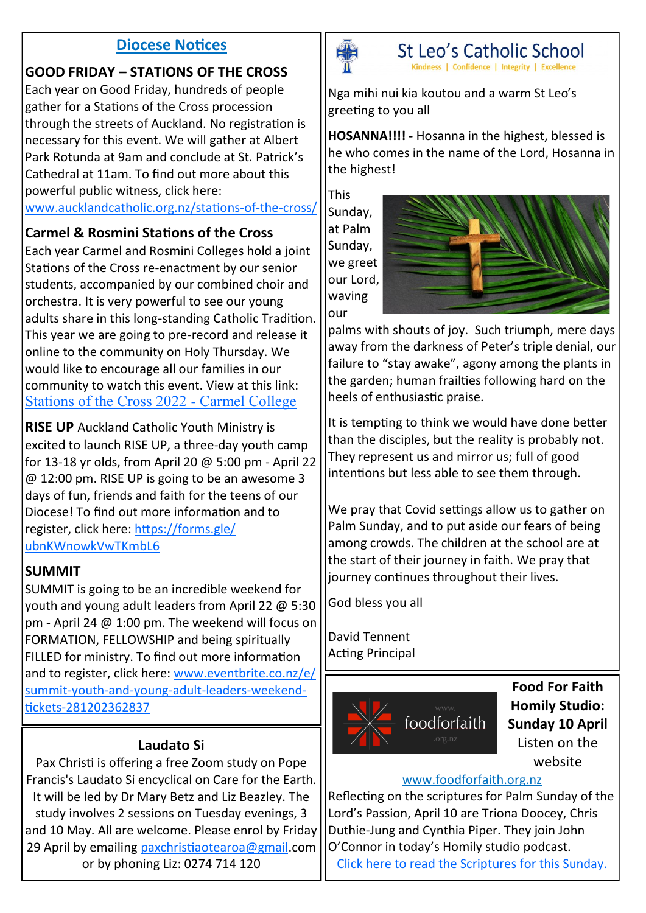#### **Diocese Notices**

## **GOOD FRIDAY – STATIONS OF THE CROSS**

Each year on Good Friday, hundreds of people gather for a Stations of the Cross procession through the streets of Auckland. No registration is necessary for this event. We will gather at Albert Park Rotunda at 9am and conclude at St. Patrick's Cathedral at 11am. To find out more about this powerful public witness, click here:

#### [www.aucklandcatholic.org.nz/stations](https://www.aucklandcatholic.org.nz/stations-of-the-cross/)-of-the-cross/

#### **Carmel & Rosmini Stations of the Cross**

Each year Carmel and Rosmini Colleges hold a joint Stations of the Cross re-enactment by our senior students, accompanied by our combined choir and orchestra. It is very powerful to see our young adults share in this long-standing Catholic Tradition. This year we are going to pre-record and release it online to the community on Holy Thursday. We would like to encourage all our families in our community to watch this event. View at this link: [Stations of the Cross 2022](https://www.carmel.school.nz/stations-of-the-cross-2022/) - Carmel College

**RISE UP** Auckland Catholic Youth Ministry is excited to launch RISE UP, a three-day youth camp for 13-18 yr olds, from April 20 @ 5:00 pm - April 22 @ 12:00 pm. RISE UP is going to be an awesome 3 days of fun, friends and faith for the teens of our Diocese! To find out more information and to register, click here: [https://forms.gle/](https://forms.gle/ubnKWnowkVwTKmbL6) [ubnKWnowkVwTKmbL6](https://forms.gle/ubnKWnowkVwTKmbL6)

#### **SUMMIT**

SUMMIT is going to be an incredible weekend for youth and young adult leaders from April 22 @ 5:30 pm - April 24 @ 1:00 pm. The weekend will focus on FORMATION, FELLOWSHIP and being spiritually FILLED for ministry. To find out more information and to register, click here: [www.eventbrite.co.nz/e/](https://www.eventbrite.co.nz/e/summit-youth-and-young-adult-leaders-weekend-tickets-281202362837) summit-youth-and-young-adult-leaders-[weekend](https://www.eventbrite.co.nz/e/summit-youth-and-young-adult-leaders-weekend-tickets-281202362837)tickets-[281202362837](https://www.eventbrite.co.nz/e/summit-youth-and-young-adult-leaders-weekend-tickets-281202362837)

#### **Laudato Si**

Pax Christi is offering a free Zoom study on Pope Francis's Laudato Si encyclical on Care for the Earth. It will be led by Dr Mary Betz and Liz Beazley. The study involves 2 sessions on Tuesday evenings, 3 and 10 May. All are welcome. Please enrol by Friday 29 April by emailing [paxchristiaotearoa@gmail.](mailto:paxchristiaotearoa@gmail)com or by phoning Liz: 0274 714 120



St Leo's Catholic School Kindness | Confidence | Integrity | Excellence

Nga mihi nui kia koutou and a warm St Leo's greeting to you all

**HOSANNA!!!! -** Hosanna in the highest, blessed is he who comes in the name of the Lord, Hosanna in the highest!

This Sunday, at Palm Sunday, we greet our Lord, waving our



palms with shouts of joy. Such triumph, mere days away from the darkness of Peter's triple denial, our failure to "stay awake", agony among the plants in the garden; human frailties following hard on the heels of enthusiastic praise.

It is tempting to think we would have done better than the disciples, but the reality is probably not. They represent us and mirror us; full of good intentions but less able to see them through.

We pray that Covid settings allow us to gather on Palm Sunday, and to put aside our fears of being among crowds. The children at the school are at the start of their journey in faith. We pray that journey continues throughout their lives.

God bless you all

David Tennent Acting Principal



**Food For Faith Homily Studio: Sunday 10 April**  Listen on the website

#### [www.foodforfaith.org.nz](https://foodforfaith.org.nz/series/homily-studio/)

Reflecting on the scriptures for Palm Sunday of the Lord's Passion, April 10 are Triona Doocey, Chris Duthie-Jung and Cynthia Piper. They join John O'Connor in today's Homily studio podcast.

[Click here to read the Scriptures for this Sunday.](https://bible.usccb.org/bible/readings/041022.cfm)